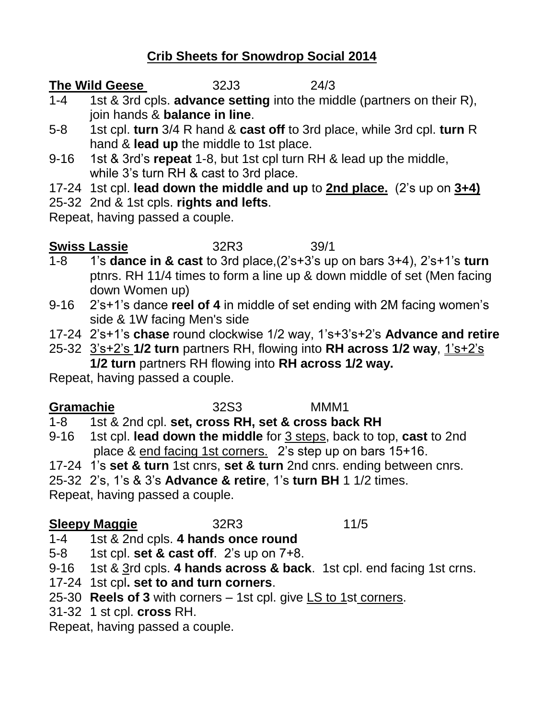## **Crib Sheets for Snowdrop Social 2014**

#### **The Wild Geese** 32J3 24/3

- 1-4 1st & 3rd cpls. **advance setting** into the middle (partners on their R), join hands & **balance in line**.
- 5-8 1st cpl. **turn** 3/4 R hand & **cast off** to 3rd place, while 3rd cpl. **turn** R hand & **lead up** the middle to 1st place.
- 9-16 1st & 3rd's **repeat** 1-8, but 1st cpl turn RH & lead up the middle, while 3's turn RH & cast to 3rd place.
- 17-24 1st cpl. **lead down the middle and up** to **2nd place.** (2's up on **3+4)**
- 25-32 2nd & 1st cpls. **rights and lefts**.

Repeat, having passed a couple.

# **Swiss Lassie** 32R3 39/1

- 1-8 1's **dance in & cast** to 3rd place,(2's+3's up on bars 3+4), 2's+1's **turn** ptnrs. RH 11/4 times to form a line up & down middle of set (Men facing down Women up)
- 9-16 2's+1's dance **reel of 4** in middle of set ending with 2M facing women's side & 1W facing Men's side
- 17-24 2's+1's **chase** round clockwise 1/2 way, 1's+3's+2's **Advance and retire**
- 25-32 3's+2's **1/2 turn** partners RH, flowing into **RH across 1/2 way**, 1's+2's **1/2 turn** partners RH flowing into **RH across 1/2 way.**

Repeat, having passed a couple.

| <b>Gramachie</b> | 32S <sub>3</sub>                                  | MMM1 |
|------------------|---------------------------------------------------|------|
| $1 - 8$          | 1st & 2nd cpl. set, cross RH, set & cross back RH |      |

9-16 1st cpl. **lead down the middle** for 3 steps, back to top, **cast** to 2nd place & end facing 1st corners. 2's step up on bars 15+16.

17-24 1's **set & turn** 1st cnrs, **set & turn** 2nd cnrs. ending between cnrs.

25-32 2's, 1's & 3's **Advance & retire**, 1's **turn BH** 1 1/2 times.

Repeat, having passed a couple.

## **Sleepy Maggie** 32R3 11/5

- 1-4 1st & 2nd cpls. **4 hands once round**
- 5-8 1st cpl. **set & cast off**. 2's up on 7+8.
- 9-16 1st & 3rd cpls. **4 hands across & back**. 1st cpl. end facing 1st crns.
- 17-24 1st cpl**. set to and turn corners**.
- 25-30 **Reels of 3** with corners 1st cpl. give LS to 1st corners.
- 31-32 1 st cpl. **cross** RH.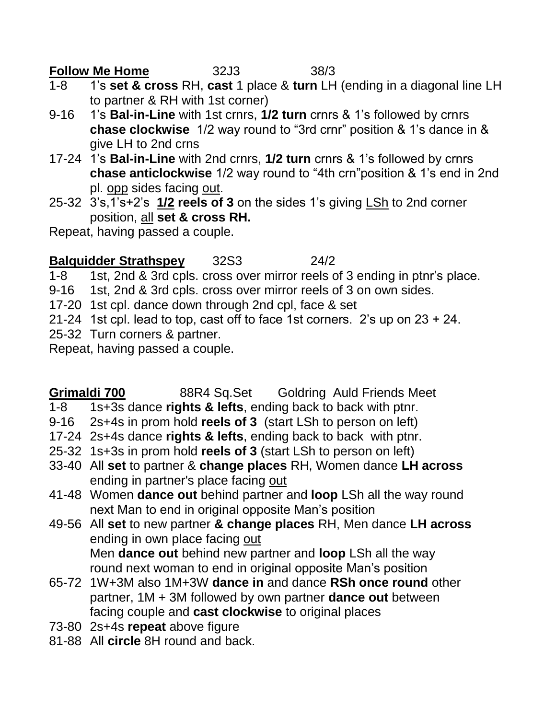**Follow Me Home** 32J3 38/3

- 1-8 1's **set & cross** RH, **cast** 1 place & **turn** LH (ending in a diagonal line LH to partner & RH with 1st corner)
- 9-16 1's **Bal-in-Line** with 1st crnrs, **1/2 turn** crnrs & 1's followed by crnrs **chase clockwise** 1/2 way round to "3rd crnr" position & 1's dance in & give LH to 2nd crns
- 17-24 1's **Bal-in-Line** with 2nd crnrs, **1/2 turn** crnrs & 1's followed by crnrs **chase anticlockwise** 1/2 way round to "4th crn"position & 1's end in 2nd pl. opp sides facing out.
- 25-32 3's,1's+2's **1/2 reels of 3** on the sides 1's giving LSh to 2nd corner position, all **set & cross RH.**

Repeat, having passed a couple.

## **Balquidder Strathspey** 32S3 24/2

1-8 1st, 2nd & 3rd cpls. cross over mirror reels of 3 ending in ptnr's place.

- 9-16 1st, 2nd & 3rd cpls. cross over mirror reels of 3 on own sides.
- 17-20 1st cpl. dance down through 2nd cpl, face & set
- 21-24 1st cpl. lead to top, cast off to face 1st corners. 2's up on 23 + 24.
- 25-32 Turn corners & partner.

Repeat, having passed a couple.

**Grimaldi 700** 88R4 Sq.Set Goldring Auld Friends Meet

- 1-8 1s+3s dance **rights & lefts**, ending back to back with ptnr.
- 9-16 2s+4s in prom hold **reels of 3** (start LSh to person on left)
- 17-24 2s+4s dance **rights & lefts**, ending back to back with ptnr.
- 25-32 1s+3s in prom hold **reels of 3** (start LSh to person on left)
- 33-40 All **set** to partner & **change places** RH, Women dance **LH across** ending in partner's place facing out
- 41-48 Women **dance out** behind partner and **loop** LSh all the way round next Man to end in original opposite Man's position
- 49-56 All **set** to new partner **& change places** RH, Men dance **LH across** ending in own place facing out Men **dance out** behind new partner and **loop** LSh all the way round next woman to end in original opposite Man's position
- 65-72 1W+3M also 1M+3W **dance in** and dance **RSh once round** other partner, 1M + 3M followed by own partner **dance out** between facing couple and **cast clockwise** to original places
- 73-80 2s+4s **repeat** above figure
- 81-88 All **circle** 8H round and back.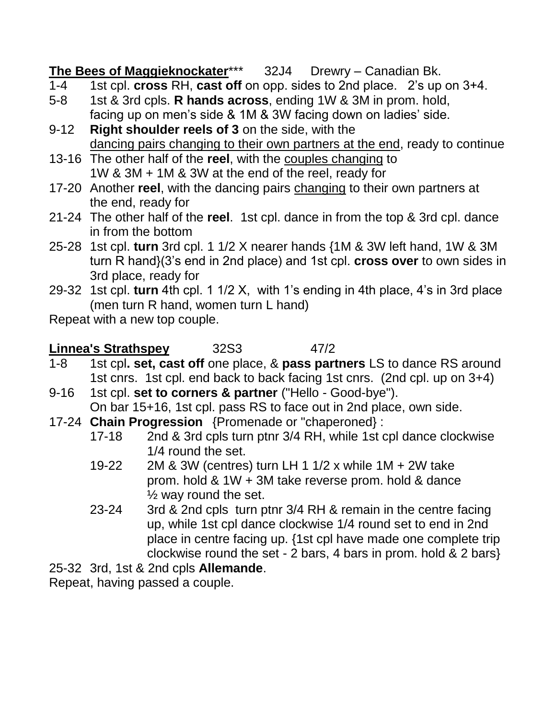**The Bees of Maggieknockater**\*\*\* 32J4 Drewry – Canadian Bk.

- 1-4 1st cpl. **cross** RH, **cast off** on opp. sides to 2nd place. 2's up on 3+4.
- 5-8 1st & 3rd cpls. **R hands across**, ending 1W & 3M in prom. hold, facing up on men's side & 1M & 3W facing down on ladies' side.
- 9-12 **Right shoulder reels of 3** on the side, with the dancing pairs changing to their own partners at the end, ready to continue
- 13-16 The other half of the **reel**, with the couples changing to 1W & 3M + 1M & 3W at the end of the reel, ready for
- 17-20 Another **reel**, with the dancing pairs changing to their own partners at the end, ready for
- 21-24 The other half of the **reel**. 1st cpl. dance in from the top & 3rd cpl. dance in from the bottom
- 25-28 1st cpl. **turn** 3rd cpl. 1 1/2 X nearer hands {1M & 3W left hand, 1W & 3M turn R hand}(3's end in 2nd place) and 1st cpl. **cross over** to own sides in 3rd place, ready for
- 29-32 1st cpl. **turn** 4th cpl. 1 1/2 X, with 1's ending in 4th place, 4's in 3rd place (men turn R hand, women turn L hand)

Repeat with a new top couple.

**Linnea's Strathspey** 32S3 47/2

- 1-8 1st cpl**. set, cast off** one place, & **pass partners** LS to dance RS around 1st cnrs. 1st cpl. end back to back facing 1st cnrs. (2nd cpl. up on 3+4)
- 9-16 1st cpl. **set to corners & partner** ("Hello Good-bye"). On bar 15+16, 1st cpl. pass RS to face out in 2nd place, own side.
- 17-24 **Chain Progression** {Promenade or "chaperoned} :
	- 17-18 2nd & 3rd cpls turn ptnr 3/4 RH, while 1st cpl dance clockwise 1/4 round the set.
	- 19-22 2M & 3W (centres) turn LH 1 1/2 x while 1M + 2W take prom. hold & 1W + 3M take reverse prom. hold & dance  $\frac{1}{2}$  way round the set.
	- 23-24 3rd & 2nd cpls turn ptnr 3/4 RH & remain in the centre facing up, while 1st cpl dance clockwise 1/4 round set to end in 2nd place in centre facing up. {1st cpl have made one complete trip clockwise round the set - 2 bars, 4 bars in prom. hold & 2 bars}

25-32 3rd, 1st & 2nd cpls **Allemande**.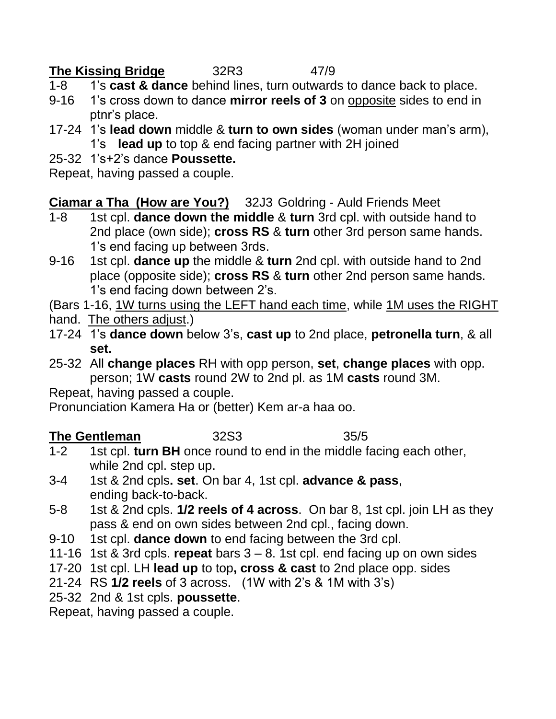## **The Kissing Bridge** 32R3 47/9

- 1-8 1's **cast & dance** behind lines, turn outwards to dance back to place.
- 9-16 1's cross down to dance **mirror reels of 3** on opposite sides to end in ptnr's place.
- 17-24 1's **lead down** middle & **turn to own sides** (woman under man's arm), 1's **lead up** to top & end facing partner with 2H joined
- 25-32 1's+2's dance **Poussette.**

Repeat, having passed a couple.

**Ciamar a Tha (How are You?)** 32J3 Goldring - Auld Friends Meet

- 1-8 1st cpl. **dance down the middle** & **turn** 3rd cpl. with outside hand to 2nd place (own side); **cross RS** & **turn** other 3rd person same hands. 1's end facing up between 3rds.
- 9-16 1st cpl. **dance up** the middle & **turn** 2nd cpl. with outside hand to 2nd place (opposite side); **cross RS** & **turn** other 2nd person same hands. 1's end facing down between 2's.
- (Bars 1-16, 1W turns using the LEFT hand each time, while 1M uses the RIGHT
- hand. The others adjust.)
- 17-24 1's **dance down** below 3's, **cast up** to 2nd place, **petronella turn**, & all **set.**
- 25-32 All **change places** RH with opp person, **set**, **change places** with opp. person; 1W **casts** round 2W to 2nd pl. as 1M **casts** round 3M.

Repeat, having passed a couple.

Pronunciation Kamera Ha or (better) Kem ar-a haa oo.

## **The Gentleman** 32S3 35/5

- 1-2 1st cpl. **turn BH** once round to end in the middle facing each other, while 2nd cpl. step up.
- 3-4 1st & 2nd cpls**. set**. On bar 4, 1st cpl. **advance & pass**, ending back-to-back.
- 5-8 1st & 2nd cpls. **1/2 reels of 4 across**. On bar 8, 1st cpl. join LH as they pass & end on own sides between 2nd cpl., facing down.
- 9-10 1st cpl. **dance down** to end facing between the 3rd cpl.
- 11-16 1st & 3rd cpls. **repeat** bars 3 8. 1st cpl. end facing up on own sides
- 17-20 1st cpl. LH **lead up** to top**, cross & cast** to 2nd place opp. sides
- 21-24 RS **1/2 reels** of 3 across. (1W with 2's & 1M with 3's)
- 25-32 2nd & 1st cpls. **poussette**.